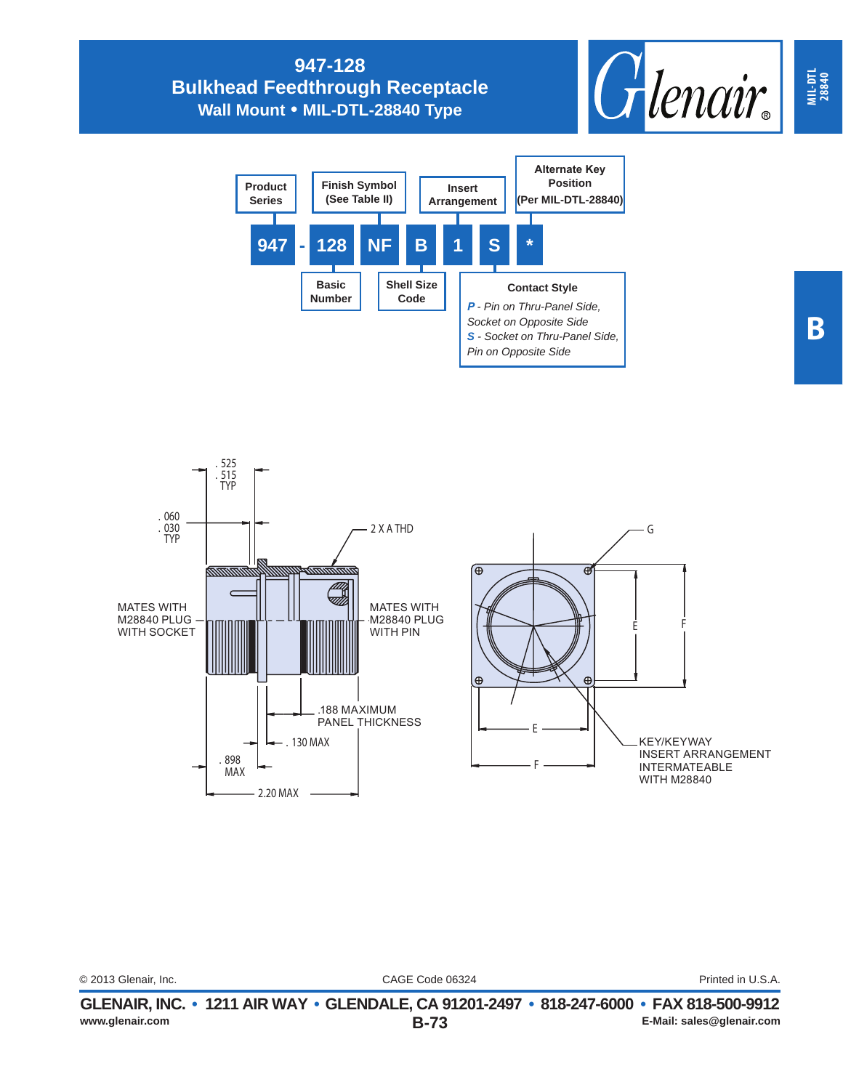## **947-128 Bulkhead Feedthrough Receptacle Wall Mount • MIL-DTL-28840 Type**







| www.glenair.com      | GLENAIR, INC. • 1211 AIR WAY • GLENDALE, CA 91201-2497 • 818-247-6000 • FAX 818-500-9912<br><b>B-73</b> | E-Mail: sales@glenair.com |
|----------------------|---------------------------------------------------------------------------------------------------------|---------------------------|
| © 2013 Glenair, Inc. | CAGE Code 06324                                                                                         | Printed in U.S.A.         |
|                      |                                                                                                         |                           |

**MIL-DTL 28840**